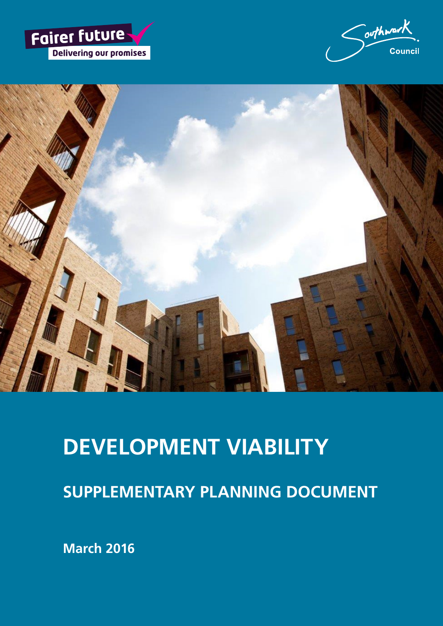





# **DEVELOPMENT VIABILITY**

**SUPPLEMENTARY PLANNING DOCUMENT**

**March 2016**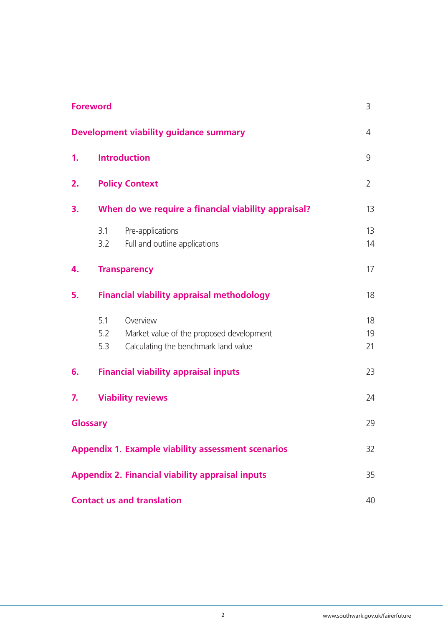|    | <b>Foreword</b>                                     |                                                                                              | 3              |
|----|-----------------------------------------------------|----------------------------------------------------------------------------------------------|----------------|
|    |                                                     | Development viability guidance summary                                                       | 4              |
| 1. | <b>Introduction</b>                                 |                                                                                              | 9              |
| 2. | <b>Policy Context</b>                               |                                                                                              | 2              |
| 3. | When do we require a financial viability appraisal? |                                                                                              | 13             |
|    | 3.1<br>3.2                                          | Pre-applications<br>Full and outline applications                                            | 13<br>14       |
| 4. |                                                     | <b>Transparency</b>                                                                          | 17             |
| 5. |                                                     | <b>Financial viability appraisal methodology</b>                                             | 18             |
|    | 5.1<br>5.2<br>5.3                                   | Overview<br>Market value of the proposed development<br>Calculating the benchmark land value | 18<br>19<br>21 |
| 6. |                                                     | <b>Financial viability appraisal inputs</b>                                                  | 23             |
| 7. |                                                     | <b>Viability reviews</b>                                                                     | 24             |
|    | Glossary                                            |                                                                                              | 29             |
|    |                                                     | <b>Appendix 1. Example viability assessment scenarios</b>                                    | 32             |
|    |                                                     | <b>Appendix 2. Financial viability appraisal inputs</b>                                      | 35             |
|    |                                                     | <b>Contact us and translation</b>                                                            | 40             |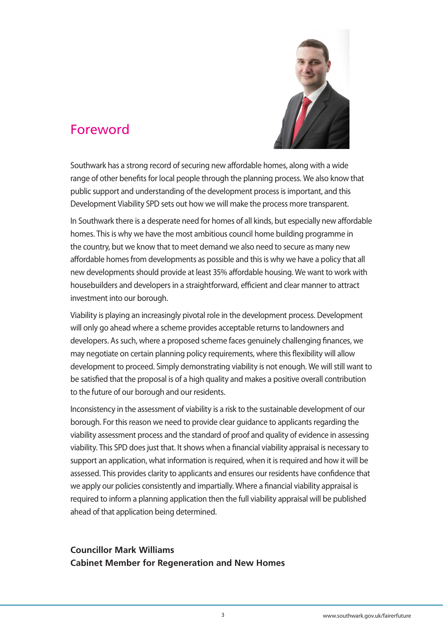

## Foreword

Southwark has a strong record of securing new affordable homes, along with a wide range of other benefits for local people through the planning process. We also know that public support and understanding of the development process is important, and this Development Viability SPD sets out how we will make the process more transparent.

In Southwark there is a desperate need for homes of all kinds, but especially new affordable homes. This is why we have the most ambitious council home building programme in the country, but we know that to meet demand we also need to secure as many new affordable homes from developments as possible and this is why we have a policy that all new developments should provide at least 35% affordable housing. We want to work with housebuilders and developers in a straightforward, efficient and clear manner to attract investment into our borough.

Viability is playing an increasingly pivotal role in the development process. Development will only go ahead where a scheme provides acceptable returns to landowners and developers. As such, where a proposed scheme faces genuinely challenging finances, we may negotiate on certain planning policy requirements, where this flexibility will allow development to proceed. Simply demonstrating viability is not enough. We will still want to be satisfied that the proposal is of a high quality and makes a positive overall contribution to the future of our borough and our residents.

Inconsistency in the assessment of viability is a risk to the sustainable development of our borough. For this reason we need to provide clear guidance to applicants regarding the viability assessment process and the standard of proof and quality of evidence in assessing viability. This SPD does just that. It shows when a financial viability appraisal is necessary to support an application, what information is required, when it is required and how it will be assessed. This provides clarity to applicants and ensures our residents have confidence that we apply our policies consistently and impartially. Where a financial viability appraisal is required to inform a planning application then the full viability appraisal will be published ahead of that application being determined.

### **Councillor Mark Williams Cabinet Member for Regeneration and New Homes**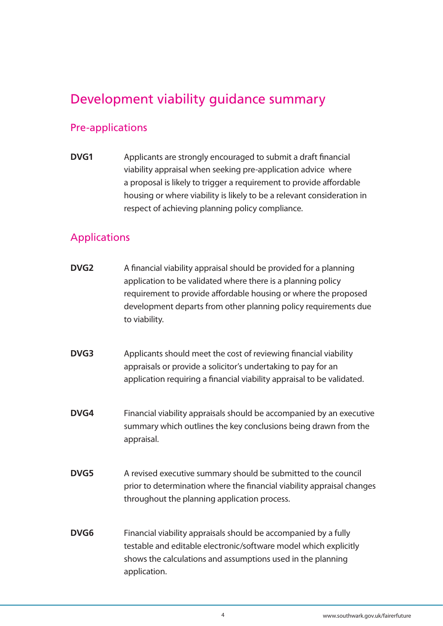## Development viability guidance summary

### Pre-applications

**DVG1** Applicants are strongly encouraged to submit a draft financial viability appraisal when seeking pre-application advice where a proposal is likely to trigger a requirement to provide affordable housing or where viability is likely to be a relevant consideration in respect of achieving planning policy compliance.

### Applications

- **DVG2** A financial viability appraisal should be provided for a planning application to be validated where there is a planning policy requirement to provide affordable housing or where the proposed development departs from other planning policy requirements due to viability.
- **DVG3** Applicants should meet the cost of reviewing financial viability appraisals or provide a solicitor's undertaking to pay for an application requiring a financial viability appraisal to be validated.
- **DVG4** Financial viability appraisals should be accompanied by an executive summary which outlines the key conclusions being drawn from the appraisal.
- **DVG5** A revised executive summary should be submitted to the council prior to determination where the financial viability appraisal changes throughout the planning application process.
- **DVG6** Financial viability appraisals should be accompanied by a fully testable and editable electronic/software model which explicitly shows the calculations and assumptions used in the planning application.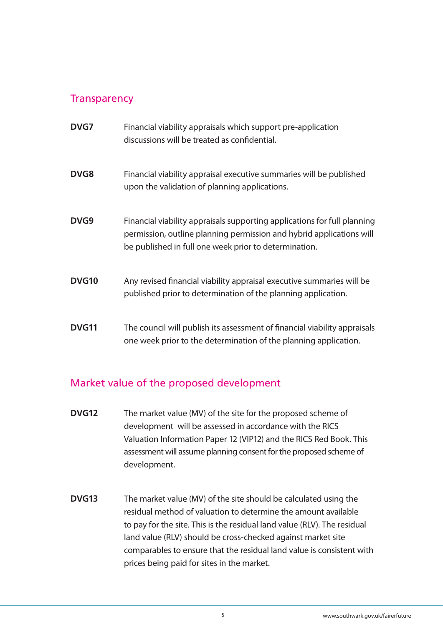### **Transparency**

| <b>DVG7</b>  | Financial viability appraisals which support pre-application<br>discussions will be treated as confidential.                                                                                              |
|--------------|-----------------------------------------------------------------------------------------------------------------------------------------------------------------------------------------------------------|
| <b>DVG8</b>  | Financial viability appraisal executive summaries will be published<br>upon the validation of planning applications.                                                                                      |
| DVG9         | Financial viability appraisals supporting applications for full planning<br>permission, outline planning permission and hybrid applications will<br>be published in full one week prior to determination. |
| <b>DVG10</b> | Any revised financial viability appraisal executive summaries will be<br>published prior to determination of the planning application.                                                                    |
| <b>DVG11</b> | The council will publish its assessment of financial viability appraisals<br>one week prior to the determination of the planning application.                                                             |

### Market value of the proposed development

- **DVG12** The market value (MV) of the site for the proposed scheme of development will be assessed in accordance with the RICS Valuation Information Paper 12 (VIP12) and the RICS Red Book. This assessment will assume planning consent for the proposed scheme of development.
- **DVG13** The market value (MV) of the site should be calculated using the residual method of valuation to determine the amount available to pay for the site. This is the residual land value (RLV). The residual land value (RLV) should be cross-checked against market site comparables to ensure that the residual land value is consistent with prices being paid for sites in the market.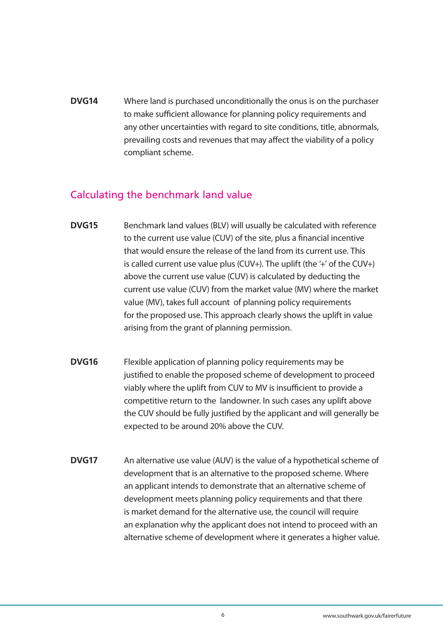**DVG14** Where land is purchased unconditionally the onus is on the purchaser to make sufficient allowance for planning policy requirements and any other uncertainties with regard to site conditions, title, abnormals, prevailing costs and revenues that may affect the viability of a policy compliant scheme.

### Calculating the benchmark land value

- **DVG15** Benchmark land values (BLV) will usually be calculated with reference to the current use value (CUV) of the site, plus a financial incentive that would ensure the release of the land from its current use. This is called current use value plus (CUV+). The uplift (the '+' of the CUV+) above the current use value (CUV) is calculated by deducting the current use value (CUV) from the market value (MV) where the market value (MV), takes full account of planning policy requirements for the proposed use. This approach clearly shows the uplift in value arising from the grant of planning permission.
- **DVG16** Flexible application of planning policy requirements may be justified to enable the proposed scheme of development to proceed viably where the uplift from CUV to MV is insufficient to provide a competitive return to the landowner. In such cases any uplift above the CUV should be fully justified by the applicant and will generally be expected to be around 20% above the CUV.
- **DVG17** An alternative use value (AUV) is the value of a hypothetical scheme of development that is an alternative to the proposed scheme. Where an applicant intends to demonstrate that an alternative scheme of development meets planning policy requirements and that there is market demand for the alternative use, the council will require an explanation why the applicant does not intend to proceed with an alternative scheme of development where it generates a higher value.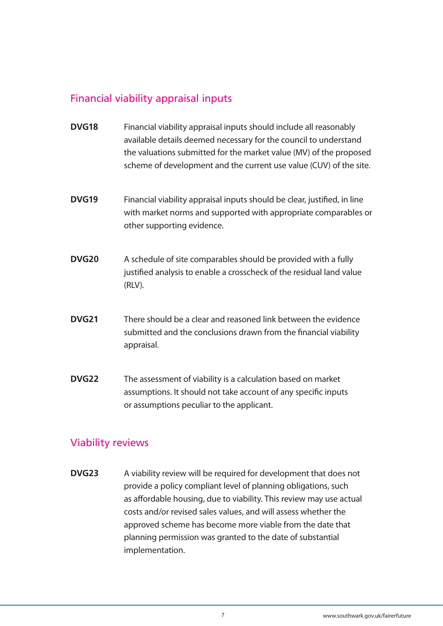### Financial viability appraisal inputs

- **DVG18** Financial viability appraisal inputs should include all reasonably available details deemed necessary for the council to understand the valuations submitted for the market value (MV) of the proposed scheme of development and the current use value (CUV) of the site.
- **DVG19** Financial viability appraisal inputs should be clear, justified, in line with market norms and supported with appropriate comparables or other supporting evidence.
- **DVG20** A schedule of site comparables should be provided with a fully justified analysis to enable a crosscheck of the residual land value (RLV).
- **DVG21** There should be a clear and reasoned link between the evidence submitted and the conclusions drawn from the financial viability appraisal.
- **DVG22** The assessment of viability is a calculation based on market assumptions. It should not take account of any specific inputs or assumptions peculiar to the applicant.

### Viability reviews

**DVG23** A viability review will be required for development that does not provide a policy compliant level of planning obligations, such as affordable housing, due to viability. This review may use actual costs and/or revised sales values, and will assess whether the approved scheme has become more viable from the date that planning permission was granted to the date of substantial implementation.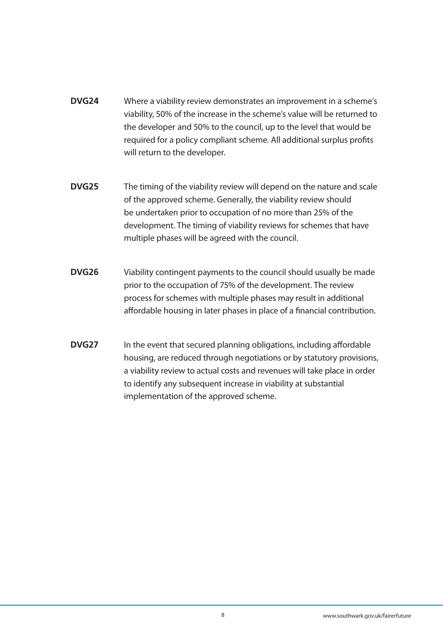- **DVG24** Where a viability review demonstrates an improvement in a scheme's viability, 50% of the increase in the scheme's value will be returned to the developer and 50% to the council, up to the level that would be required for a policy compliant scheme. All additional surplus profits will return to the developer.
- **DVG25** The timing of the viability review will depend on the nature and scale of the approved scheme. Generally, the viability review should be undertaken prior to occupation of no more than 25% of the development. The timing of viability reviews for schemes that have multiple phases will be agreed with the council.
- **DVG26** Viability contingent payments to the council should usually be made prior to the occupation of 75% of the development. The review process for schemes with multiple phases may result in additional affordable housing in later phases in place of a financial contribution.
- **DVG27** In the event that secured planning obligations, including affordable housing, are reduced through negotiations or by statutory provisions, a viability review to actual costs and revenues will take place in order to identify any subsequent increase in viability at substantial implementation of the approved scheme.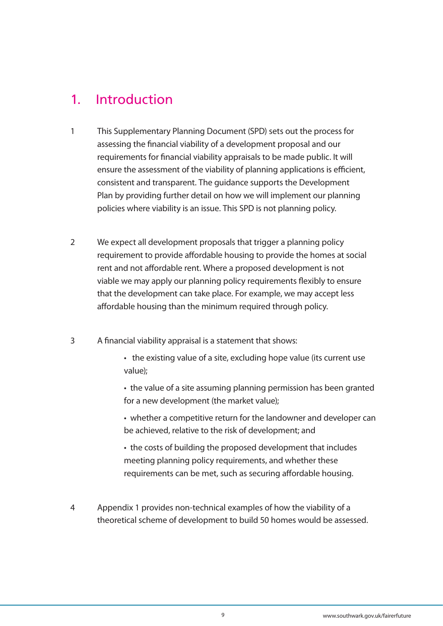## 1. Introduction

- 1 This Supplementary Planning Document (SPD) sets out the process for assessing the financial viability of a development proposal and our requirements for financial viability appraisals to be made public. It will ensure the assessment of the viability of planning applications is efficient, consistent and transparent. The guidance supports the Development Plan by providing further detail on how we will implement our planning policies where viability is an issue. This SPD is not planning policy.
- 2 We expect all development proposals that trigger a planning policy requirement to provide affordable housing to provide the homes at social rent and not affordable rent. Where a proposed development is not viable we may apply our planning policy requirements flexibly to ensure that the development can take place. For example, we may accept less affordable housing than the minimum required through policy.
- 3 A financial viability appraisal is a statement that shows:
	- the existing value of a site, excluding hope value (its current use value);
	- the value of a site assuming planning permission has been granted for a new development (the market value);
	- whether a competitive return for the landowner and developer can be achieved, relative to the risk of development; and
	- the costs of building the proposed development that includes meeting planning policy requirements, and whether these requirements can be met, such as securing affordable housing.
- 4 Appendix 1 provides non-technical examples of how the viability of a theoretical scheme of development to build 50 homes would be assessed.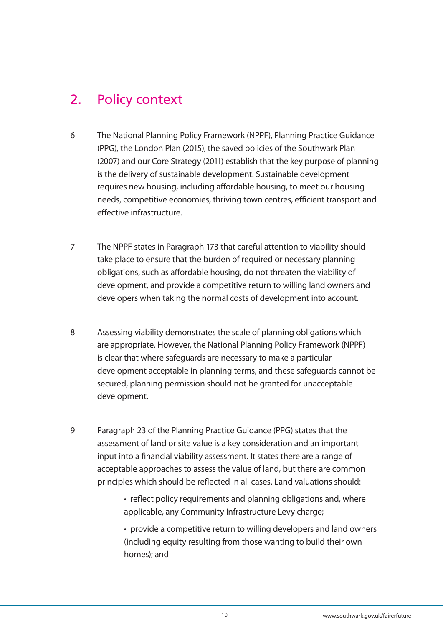## 2. Policy context

- 6 The National Planning Policy Framework (NPPF), Planning Practice Guidance (PPG), the London Plan (2015), the saved policies of the Southwark Plan (2007) and our Core Strategy (2011) establish that the key purpose of planning is the delivery of sustainable development. Sustainable development requires new housing, including affordable housing, to meet our housing needs, competitive economies, thriving town centres, efficient transport and effective infrastructure.
- 7 The NPPF states in Paragraph 173 that careful attention to viability should take place to ensure that the burden of required or necessary planning obligations, such as affordable housing, do not threaten the viability of development, and provide a competitive return to willing land owners and developers when taking the normal costs of development into account.
- 8 Assessing viability demonstrates the scale of planning obligations which are appropriate. However, the National Planning Policy Framework (NPPF) is clear that where safeguards are necessary to make a particular development acceptable in planning terms, and these safeguards cannot be secured, planning permission should not be granted for unacceptable development.
- 9 Paragraph 23 of the Planning Practice Guidance (PPG) states that the assessment of land or site value is a key consideration and an important input into a financial viability assessment. It states there are a range of acceptable approaches to assess the value of land, but there are common principles which should be reflected in all cases. Land valuations should:
	- reflect policy requirements and planning obligations and, where applicable, any Community Infrastructure Levy charge;
	- provide a competitive return to willing developers and land owners (including equity resulting from those wanting to build their own homes); and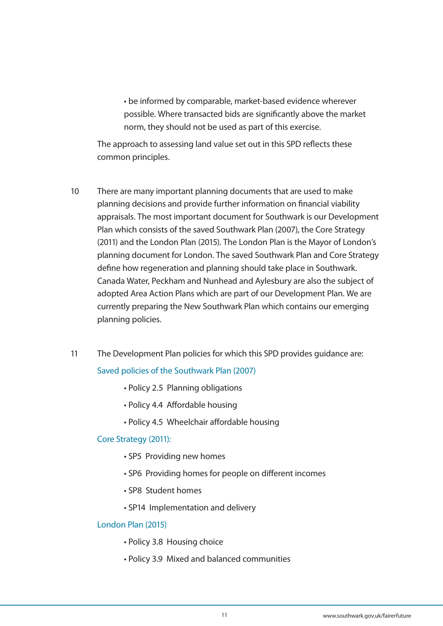• be informed by comparable, market-based evidence wherever possible. Where transacted bids are significantly above the market norm, they should not be used as part of this exercise.

The approach to assessing land value set out in this SPD reflects these common principles.

- 10 There are many important planning documents that are used to make planning decisions and provide further information on financial viability appraisals. The most important document for Southwark is our Development Plan which consists of the saved Southwark Plan (2007), the Core Strategy (2011) and the London Plan (2015). The London Plan is the Mayor of London's planning document for London. The saved Southwark Plan and Core Strategy define how regeneration and planning should take place in Southwark. Canada Water, Peckham and Nunhead and Aylesbury are also the subject of adopted Area Action Plans which are part of our Development Plan. We are currently preparing the New Southwark Plan which contains our emerging planning policies.
- 11 The Development Plan policies for which this SPD provides guidance are: Saved policies of the Southwark Plan (2007)
	- Policy 2.5 Planning obligations
	- Policy 4.4 Affordable housing
	- Policy 4.5 Wheelchair affordable housing

#### Core Strategy (2011):

- SP5 Providing new homes
- SP6 Providing homes for people on different incomes
- SP8 Student homes
- SP14 Implementation and delivery

#### London Plan (2015)

- Policy 3.8 Housing choice
- Policy 3.9 Mixed and balanced communities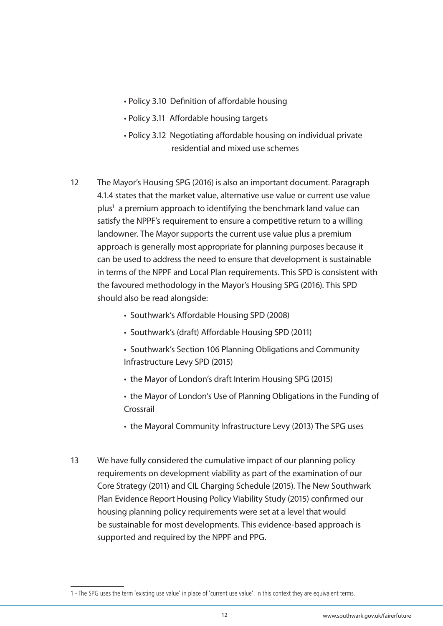- Policy 3.10 Definition of affordable housing
- Policy 3.11 Affordable housing targets
- Policy 3.12 Negotiating affordable housing on individual private residential and mixed use schemes
- 12 The Mayor's Housing SPG (2016) is also an important document. Paragraph 4.1.4 states that the market value, alternative use value or current use value plus<sup>1</sup> a premium approach to identifying the benchmark land value can satisfy the NPPF's requirement to ensure a competitive return to a willing landowner. The Mayor supports the current use value plus a premium approach is generally most appropriate for planning purposes because it can be used to address the need to ensure that development is sustainable in terms of the NPPF and Local Plan requirements. This SPD is consistent with the favoured methodology in the Mayor's Housing SPG (2016). This SPD should also be read alongside:
	- Southwark's Affordable Housing SPD (2008)
	- Southwark's (draft) Affordable Housing SPD (2011)
	- Southwark's Section 106 Planning Obligations and Community Infrastructure Levy SPD (2015)
	- the Mayor of London's draft Interim Housing SPG (2015)
	- the Mayor of London's Use of Planning Obligations in the Funding of Crossrail
	- the Mayoral Community Infrastructure Levy (2013) The SPG uses
- 13 We have fully considered the cumulative impact of our planning policy requirements on development viability as part of the examination of our Core Strategy (2011) and CIL Charging Schedule (2015). The New Southwark Plan Evidence Report Housing Policy Viability Study (2015) confirmed our housing planning policy requirements were set at a level that would be sustainable for most developments. This evidence-based approach is supported and required by the NPPF and PPG.

<sup>1 -</sup> The SPG uses the term 'existing use value' in place of 'current use value'. In this context they are equivalent terms.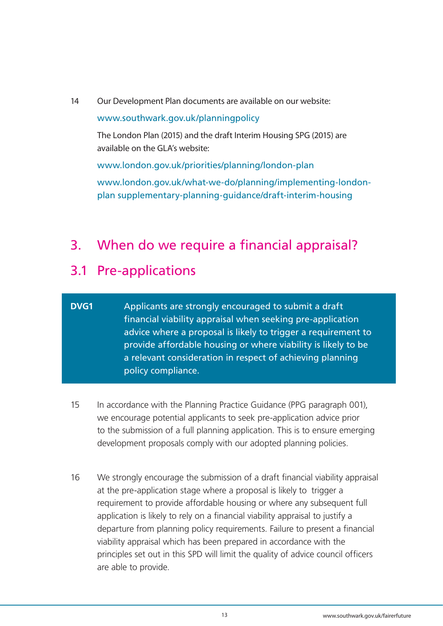14 Our Development Plan documents are available on our website:

#### www.southwark.gov.uk/planningpolicy

The London Plan (2015) and the draft Interim Housing SPG (2015) are available on the GLA's website:

www.london.gov.uk/priorities/planning/london-plan

www.london.gov.uk/what-we-do/planning/implementing-londonplan supplementary-planning-guidance/draft-interim-housing

## 3. When do we require a financial appraisal?

## 3.1 Pre-applications

### **DVG1** Applicants are strongly encouraged to submit a draft financial viability appraisal when seeking pre-application advice where a proposal is likely to trigger a requirement to provide affordable housing or where viability is likely to be a relevant consideration in respect of achieving planning policy compliance.

- 15 In accordance with the Planning Practice Guidance (PPG paragraph 001), we encourage potential applicants to seek pre-application advice prior to the submission of a full planning application. This is to ensure emerging development proposals comply with our adopted planning policies.
- 16 We strongly encourage the submission of a draft financial viability appraisal at the pre-application stage where a proposal is likely to trigger a requirement to provide affordable housing or where any subsequent full application is likely to rely on a financial viability appraisal to justify a departure from planning policy requirements. Failure to present a financial viability appraisal which has been prepared in accordance with the principles set out in this SPD will limit the quality of advice council officers are able to provide.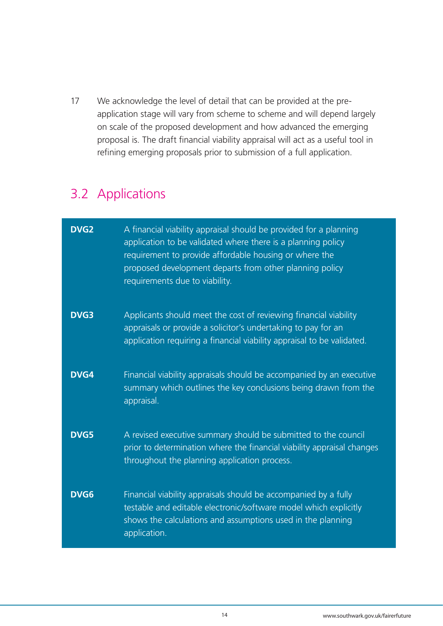17 We acknowledge the level of detail that can be provided at the preapplication stage will vary from scheme to scheme and will depend largely on scale of the proposed development and how advanced the emerging proposal is. The draft financial viability appraisal will act as a useful tool in refining emerging proposals prior to submission of a full application.

## 3.2 Applications

| <b>DVG2</b> | A financial viability appraisal should be provided for a planning<br>application to be validated where there is a planning policy<br>requirement to provide affordable housing or where the<br>proposed development departs from other planning policy<br>requirements due to viability. |
|-------------|------------------------------------------------------------------------------------------------------------------------------------------------------------------------------------------------------------------------------------------------------------------------------------------|
| <b>DVG3</b> | Applicants should meet the cost of reviewing financial viability<br>appraisals or provide a solicitor's undertaking to pay for an<br>application requiring a financial viability appraisal to be validated.                                                                              |
| <b>DVG4</b> | Financial viability appraisals should be accompanied by an executive<br>summary which outlines the key conclusions being drawn from the<br>appraisal.                                                                                                                                    |
| <b>DVG5</b> | A revised executive summary should be submitted to the council<br>prior to determination where the financial viability appraisal changes<br>throughout the planning application process.                                                                                                 |
| <b>DVG6</b> | Financial viability appraisals should be accompanied by a fully<br>testable and editable electronic/software model which explicitly<br>shows the calculations and assumptions used in the planning<br>application.                                                                       |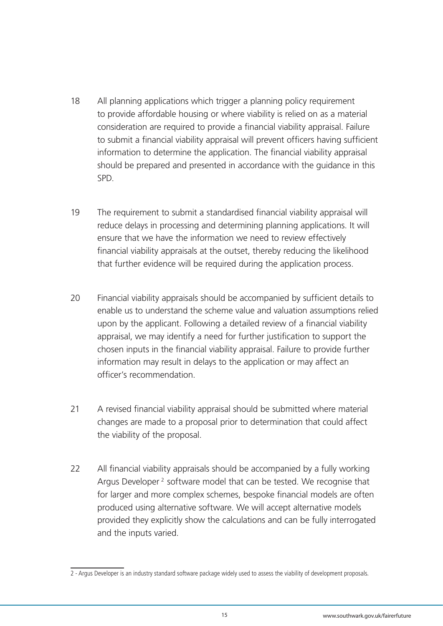- 18 All planning applications which trigger a planning policy requirement to provide affordable housing or where viability is relied on as a material consideration are required to provide a financial viability appraisal. Failure to submit a financial viability appraisal will prevent officers having sufficient information to determine the application. The financial viability appraisal should be prepared and presented in accordance with the guidance in this SPD.
- 19 The requirement to submit a standardised financial viability appraisal will reduce delays in processing and determining planning applications. It will ensure that we have the information we need to review effectively financial viability appraisals at the outset, thereby reducing the likelihood that further evidence will be required during the application process.
- 20 Financial viability appraisals should be accompanied by sufficient details to enable us to understand the scheme value and valuation assumptions relied upon by the applicant. Following a detailed review of a financial viability appraisal, we may identify a need for further justification to support the chosen inputs in the financial viability appraisal. Failure to provide further information may result in delays to the application or may affect an officer's recommendation.
- 21 A revised financial viability appraisal should be submitted where material changes are made to a proposal prior to determination that could affect the viability of the proposal.
- 22 All financial viability appraisals should be accompanied by a fully working Argus Developer<sup>2</sup> software model that can be tested. We recognise that for larger and more complex schemes, bespoke financial models are often produced using alternative software. We will accept alternative models provided they explicitly show the calculations and can be fully interrogated and the inputs varied.

<sup>2 -</sup> Argus Developer is an industry standard software package widely used to assess the viability of development proposals.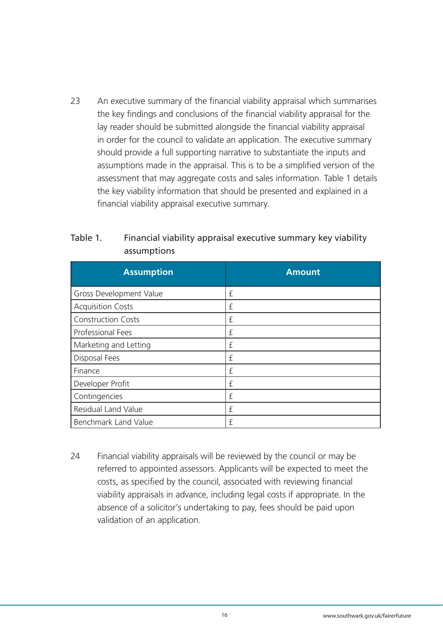23 An executive summary of the financial viability appraisal which summarises the key findings and conclusions of the financial viability appraisal for the lay reader should be submitted alongside the financial viability appraisal in order for the council to validate an application. The executive summary should provide a full supporting narrative to substantiate the inputs and assumptions made in the appraisal. This is to be a simplified version of the assessment that may aggregate costs and sales information. Table 1 details the key viability information that should be presented and explained in a financial viability appraisal executive summary.

| <b>Assumption</b>         | <b>Amount</b> |
|---------------------------|---------------|
| Gross Development Value   | £             |
| <b>Acquisition Costs</b>  | £             |
| <b>Construction Costs</b> | £             |
| Professional Fees         | £             |
| Marketing and Letting     | £             |
| Disposal Fees             | £             |
| Finance                   | £             |
| Developer Profit          | £             |
| Contingencies             | £             |
| Residual Land Value       | £             |
| Benchmark Land Value      | f             |

### Table 1. Financial viability appraisal executive summary key viability assumptions

24 Financial viability appraisals will be reviewed by the council or may be referred to appointed assessors. Applicants will be expected to meet the costs, as specified by the council, associated with reviewing financial viability appraisals in advance, including legal costs if appropriate. In the absence of a solicitor's undertaking to pay, fees should be paid upon validation of an application.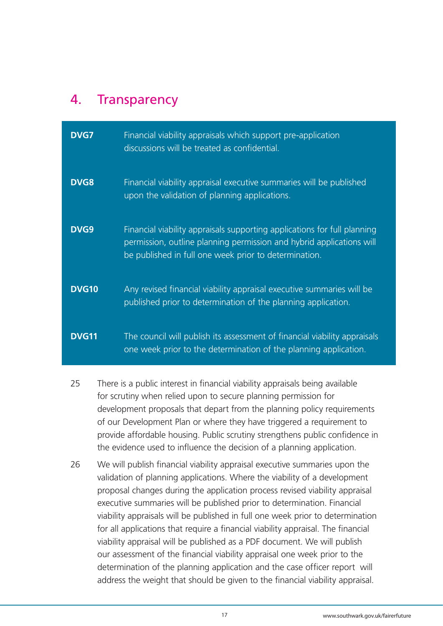## 4. Transparency

| <b>DVG7</b>  | Financial viability appraisals which support pre-application<br>discussions will be treated as confidential.                                                                                              |
|--------------|-----------------------------------------------------------------------------------------------------------------------------------------------------------------------------------------------------------|
| <b>DVG8</b>  | Financial viability appraisal executive summaries will be published<br>upon the validation of planning applications.                                                                                      |
| DVG9         | Financial viability appraisals supporting applications for full planning<br>permission, outline planning permission and hybrid applications will<br>be published in full one week prior to determination. |
| <b>DVG10</b> | Any revised financial viability appraisal executive summaries will be<br>published prior to determination of the planning application.                                                                    |
| <b>DVG11</b> | The council will publish its assessment of financial viability appraisals<br>one week prior to the determination of the planning application.                                                             |

- 25 There is a public interest in financial viability appraisals being available for scrutiny when relied upon to secure planning permission for development proposals that depart from the planning policy requirements of our Development Plan or where they have triggered a requirement to provide affordable housing. Public scrutiny strengthens public confidence in the evidence used to influence the decision of a planning application.
- 26 We will publish financial viability appraisal executive summaries upon the validation of planning applications. Where the viability of a development proposal changes during the application process revised viability appraisal executive summaries will be published prior to determination. Financial viability appraisals will be published in full one week prior to determination for all applications that require a financial viability appraisal. The financial viability appraisal will be published as a PDF document. We will publish our assessment of the financial viability appraisal one week prior to the determination of the planning application and the case officer report will address the weight that should be given to the financial viability appraisal.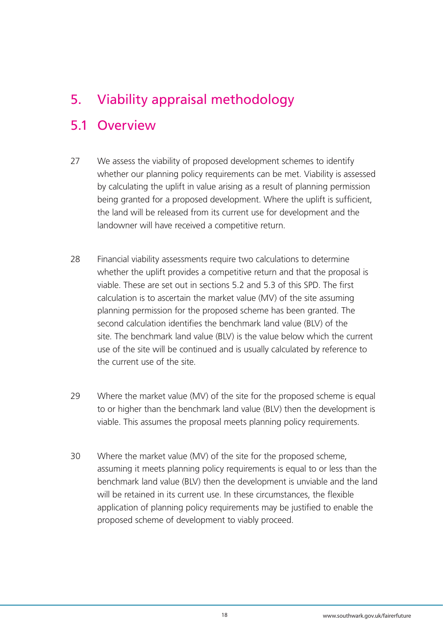## 5. Viability appraisal methodology

## 5.1 Overview

- 27 We assess the viability of proposed development schemes to identify whether our planning policy requirements can be met. Viability is assessed by calculating the uplift in value arising as a result of planning permission being granted for a proposed development. Where the uplift is sufficient, the land will be released from its current use for development and the landowner will have received a competitive return.
- 28 Financial viability assessments require two calculations to determine whether the uplift provides a competitive return and that the proposal is viable. These are set out in sections 5.2 and 5.3 of this SPD. The first calculation is to ascertain the market value (MV) of the site assuming planning permission for the proposed scheme has been granted. The second calculation identifies the benchmark land value (BLV) of the site. The benchmark land value (BLV) is the value below which the current use of the site will be continued and is usually calculated by reference to the current use of the site.
- 29 Where the market value (MV) of the site for the proposed scheme is equal to or higher than the benchmark land value (BLV) then the development is viable. This assumes the proposal meets planning policy requirements.
- 30 Where the market value (MV) of the site for the proposed scheme, assuming it meets planning policy requirements is equal to or less than the benchmark land value (BLV) then the development is unviable and the land will be retained in its current use. In these circumstances, the flexible application of planning policy requirements may be justified to enable the proposed scheme of development to viably proceed.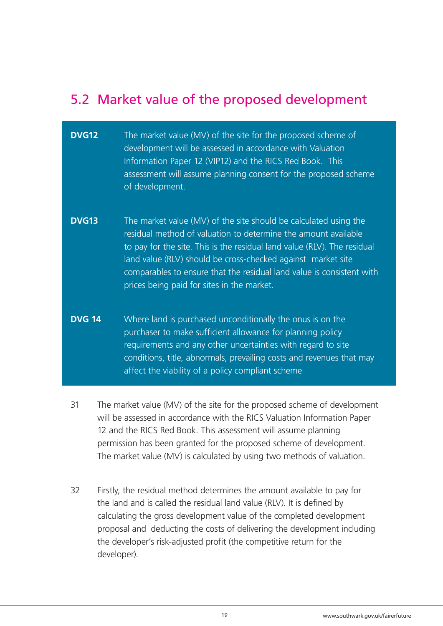## 5.2 Market value of the proposed development

- **DVG12** The market value (MV) of the site for the proposed scheme of development will be assessed in accordance with Valuation Information Paper 12 (VIP12) and the RICS Red Book. This assessment will assume planning consent for the proposed scheme of development.
- **DVG13** The market value (MV) of the site should be calculated using the residual method of valuation to determine the amount available to pay for the site. This is the residual land value (RLV). The residual land value (RLV) should be cross-checked against market site comparables to ensure that the residual land value is consistent with prices being paid for sites in the market.
- **DVG 14** Where land is purchased unconditionally the onus is on the purchaser to make sufficient allowance for planning policy requirements and any other uncertainties with regard to site conditions, title, abnormals, prevailing costs and revenues that may affect the viability of a policy compliant scheme
- 31 The market value (MV) of the site for the proposed scheme of development will be assessed in accordance with the RICS Valuation Information Paper 12 and the RICS Red Book. This assessment will assume planning permission has been granted for the proposed scheme of development. The market value (MV) is calculated by using two methods of valuation.
- 32 Firstly, the residual method determines the amount available to pay for the land and is called the residual land value (RLV). It is defined by calculating the gross development value of the completed development proposal and deducting the costs of delivering the development including the developer's risk-adjusted profit (the competitive return for the developer).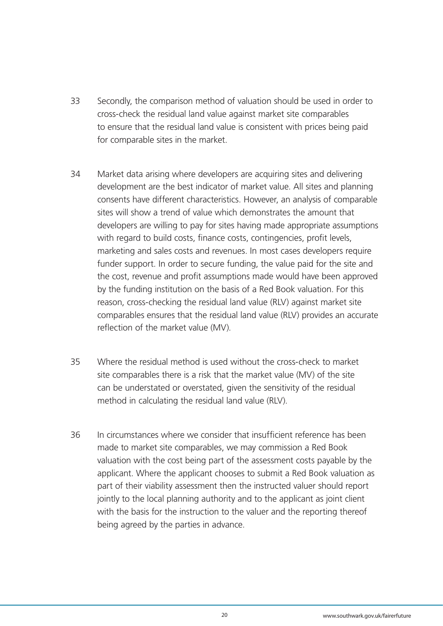- 33 Secondly, the comparison method of valuation should be used in order to cross-check the residual land value against market site comparables to ensure that the residual land value is consistent with prices being paid for comparable sites in the market.
- 34 Market data arising where developers are acquiring sites and delivering development are the best indicator of market value. All sites and planning consents have different characteristics. However, an analysis of comparable sites will show a trend of value which demonstrates the amount that developers are willing to pay for sites having made appropriate assumptions with regard to build costs, finance costs, contingencies, profit levels, marketing and sales costs and revenues. In most cases developers require funder support. In order to secure funding, the value paid for the site and the cost, revenue and profit assumptions made would have been approved by the funding institution on the basis of a Red Book valuation. For this reason, cross-checking the residual land value (RLV) against market site comparables ensures that the residual land value (RLV) provides an accurate reflection of the market value (MV).
- 35 Where the residual method is used without the cross-check to market site comparables there is a risk that the market value (MV) of the site can be understated or overstated, given the sensitivity of the residual method in calculating the residual land value (RLV).
- 36 In circumstances where we consider that insufficient reference has been made to market site comparables, we may commission a Red Book valuation with the cost being part of the assessment costs payable by the applicant. Where the applicant chooses to submit a Red Book valuation as part of their viability assessment then the instructed valuer should report jointly to the local planning authority and to the applicant as joint client with the basis for the instruction to the valuer and the reporting thereof being agreed by the parties in advance.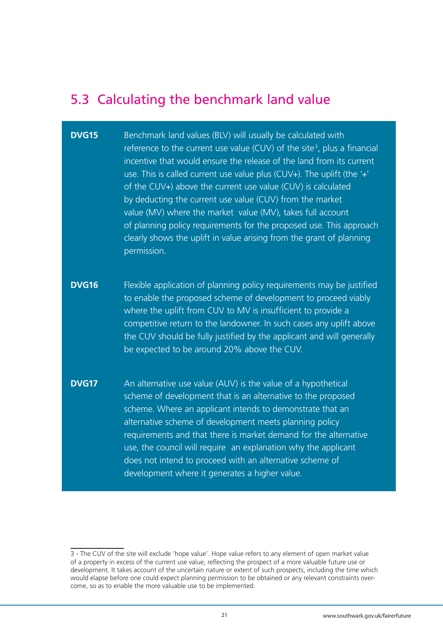## 5.3 Calculating the benchmark land value

## **DVG15** Benchmark land values (BLV) will usually be calculated with **Example 2** reference to the current use value (CUV) of the site<sup>3</sup>, plus a financial incentive that would ensure the release of the land from its current use. This is called current use value plus (CUV+). The uplift (the '+' of the CUV+) above the current use value (CUV) is calculated by deducting the current use value (CUV) from the market value (MV) where the market value (MV), takes full account of planning policy requirements for the proposed use. This approach clearly shows the uplift in value arising from the grant of planning permission. **DVG16** Flexible application of planning policy requirements may be justified to enable the proposed scheme of development to proceed viably where the uplift from CUV to MV is insufficient to provide a competitive return to the landowner. In such cases any uplift above the CUV should be fully justified by the applicant and will generally be expected to be around 20% above the CUV. **DVG17** An alternative use value (AUV) is the value of a hypothetical scheme of development that is an alternative to the proposed scheme. Where an applicant intends to demonstrate that an alternative scheme of development meets planning policy requirements and that there is market demand for the alternative use, the council will require an explanation why the applicant does not intend to proceed with an alternative scheme of development where it generates a higher value.

<sup>3 -</sup> The CUV of the site will exclude 'hope value'. Hope value refers to any element of open market value of a property in excess of the current use value, reflecting the prospect of a more valuable future use or development. It takes account of the uncertain nature or extent of such prospects, including the time which would elapse before one could expect planning permission to be obtained or any relevant constraints overcome, so as to enable the more valuable use to be implemented.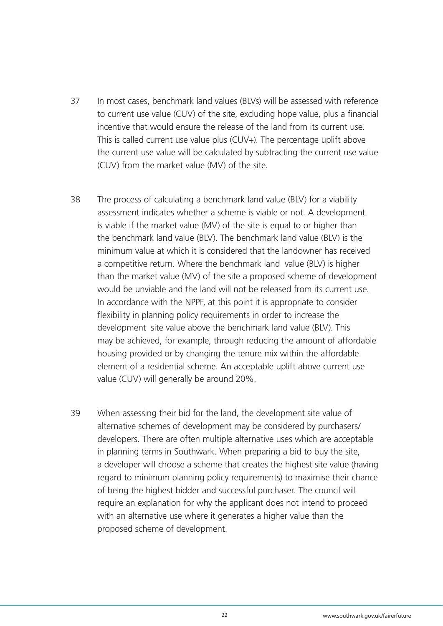- 37 In most cases, benchmark land values (BLVs) will be assessed with reference to current use value (CUV) of the site, excluding hope value, plus a financial incentive that would ensure the release of the land from its current use. This is called current use value plus (CUV+). The percentage uplift above the current use value will be calculated by subtracting the current use value (CUV) from the market value (MV) of the site.
- 38 The process of calculating a benchmark land value (BLV) for a viability assessment indicates whether a scheme is viable or not. A development is viable if the market value (MV) of the site is equal to or higher than the benchmark land value (BLV). The benchmark land value (BLV) is the minimum value at which it is considered that the landowner has received a competitive return. Where the benchmark land value (BLV) is higher than the market value (MV) of the site a proposed scheme of development would be unviable and the land will not be released from its current use. In accordance with the NPPF, at this point it is appropriate to consider flexibility in planning policy requirements in order to increase the development site value above the benchmark land value (BLV). This may be achieved, for example, through reducing the amount of affordable housing provided or by changing the tenure mix within the affordable element of a residential scheme. An acceptable uplift above current use value (CUV) will generally be around 20%.
- 39 When assessing their bid for the land, the development site value of alternative schemes of development may be considered by purchasers/ developers. There are often multiple alternative uses which are acceptable in planning terms in Southwark. When preparing a bid to buy the site, a developer will choose a scheme that creates the highest site value (having regard to minimum planning policy requirements) to maximise their chance of being the highest bidder and successful purchaser. The council will require an explanation for why the applicant does not intend to proceed with an alternative use where it generates a higher value than the proposed scheme of development.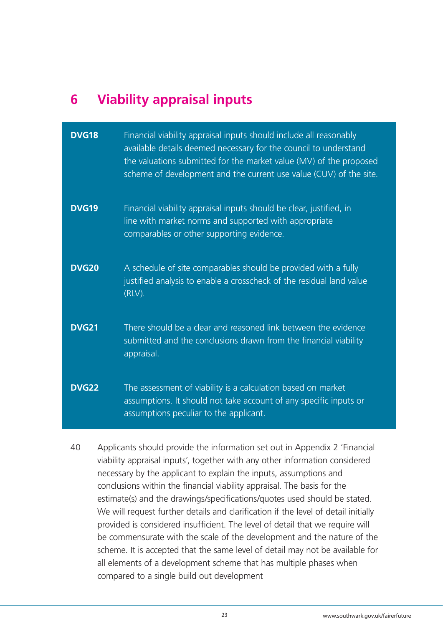## **6 Viability appraisal inputs**

| <b>DVG18</b> | Financial viability appraisal inputs should include all reasonably<br>available details deemed necessary for the council to understand<br>the valuations submitted for the market value (MV) of the proposed<br>scheme of development and the current use value (CUV) of the site. |
|--------------|------------------------------------------------------------------------------------------------------------------------------------------------------------------------------------------------------------------------------------------------------------------------------------|
| <b>DVG19</b> | Financial viability appraisal inputs should be clear, justified, in<br>line with market norms and supported with appropriate<br>comparables or other supporting evidence.                                                                                                          |
| <b>DVG20</b> | A schedule of site comparables should be provided with a fully<br>justified analysis to enable a crosscheck of the residual land value<br>$(RLV)$ .                                                                                                                                |
| <b>DVG21</b> | There should be a clear and reasoned link between the evidence<br>submitted and the conclusions drawn from the financial viability<br>appraisal.                                                                                                                                   |
| <b>DVG22</b> | The assessment of viability is a calculation based on market<br>assumptions. It should not take account of any specific inputs or<br>assumptions peculiar to the applicant.                                                                                                        |

40 Applicants should provide the information set out in Appendix 2 'Financial viability appraisal inputs', together with any other information considered necessary by the applicant to explain the inputs, assumptions and conclusions within the financial viability appraisal. The basis for the estimate(s) and the drawings/specifications/quotes used should be stated. We will request further details and clarification if the level of detail initially provided is considered insufficient. The level of detail that we require will be commensurate with the scale of the development and the nature of the scheme. It is accepted that the same level of detail may not be available for all elements of a development scheme that has multiple phases when compared to a single build out development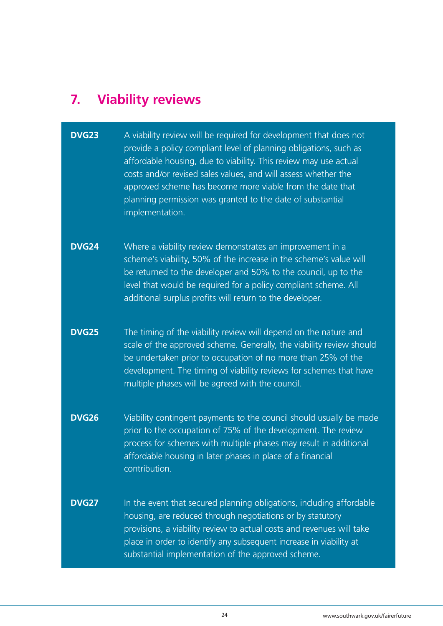# **7. Viability reviews**

| <b>DVG23</b> | A viability review will be required for development that does not<br>provide a policy compliant level of planning obligations, such as<br>affordable housing, due to viability. This review may use actual<br>costs and/or revised sales values, and will assess whether the<br>approved scheme has become more viable from the date that<br>planning permission was granted to the date of substantial<br>implementation. |
|--------------|----------------------------------------------------------------------------------------------------------------------------------------------------------------------------------------------------------------------------------------------------------------------------------------------------------------------------------------------------------------------------------------------------------------------------|
| <b>DVG24</b> | Where a viability review demonstrates an improvement in a<br>scheme's viability, 50% of the increase in the scheme's value will<br>be returned to the developer and 50% to the council, up to the<br>level that would be required for a policy compliant scheme. All<br>additional surplus profits will return to the developer.                                                                                           |
| <b>DVG25</b> | The timing of the viability review will depend on the nature and<br>scale of the approved scheme. Generally, the viability review should<br>be undertaken prior to occupation of no more than 25% of the<br>development. The timing of viability reviews for schemes that have<br>multiple phases will be agreed with the council.                                                                                         |
| <b>DVG26</b> | Viability contingent payments to the council should usually be made<br>prior to the occupation of 75% of the development. The review<br>process for schemes with multiple phases may result in additional<br>affordable housing in later phases in place of a financial<br>contribution.                                                                                                                                   |
| <b>DVG27</b> | In the event that secured planning obligations, including affordable<br>housing, are reduced through negotiations or by statutory<br>provisions, a viability review to actual costs and revenues will take<br>place in order to identify any subsequent increase in viability at<br>substantial implementation of the approved scheme.                                                                                     |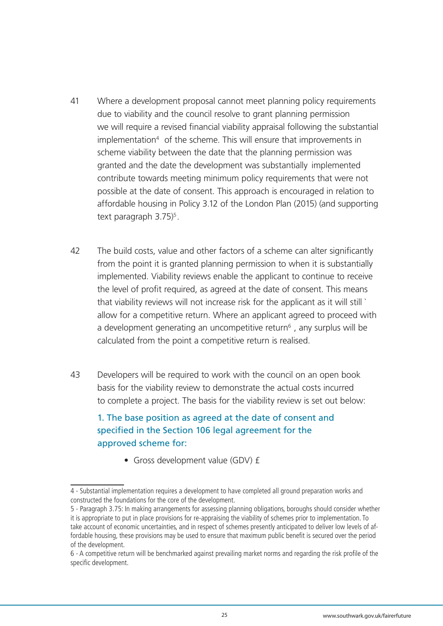- 41 Where a development proposal cannot meet planning policy requirements due to viability and the council resolve to grant planning permission we will require a revised financial viability appraisal following the substantial implementation<sup>4</sup> of the scheme. This will ensure that improvements in scheme viability between the date that the planning permission was granted and the date the development was substantially implemented contribute towards meeting minimum policy requirements that were not possible at the date of consent. This approach is encouraged in relation to affordable housing in Policy 3.12 of the London Plan (2015) (and supporting text paragraph  $3.75$ <sup>5</sup>.
- 42 The build costs, value and other factors of a scheme can alter significantly from the point it is granted planning permission to when it is substantially implemented. Viability reviews enable the applicant to continue to receive the level of profit required, as agreed at the date of consent. This means that viability reviews will not increase risk for the applicant as it will still ` allow for a competitive return. Where an applicant agreed to proceed with a development generating an uncompetitive return<sup> $6$ </sup>, any surplus will be calculated from the point a competitive return is realised.
- 43 Developers will be required to work with the council on an open book basis for the viability review to demonstrate the actual costs incurred to complete a project. The basis for the viability review is set out below:

### 1. The base position as agreed at the date of consent and specified in the Section 106 legal agreement for the approved scheme for:

 • Gross development value (GDV) £

<sup>4 -</sup> Substantial implementation requires a development to have completed all ground preparation works and constructed the foundations for the core of the development.

<sup>5 -</sup> Paragraph 3.75: In making arrangements for assessing planning obligations, boroughs should consider whether it is appropriate to put in place provisions for re-appraising the viability of schemes prior to implementation. To take account of economic uncertainties, and in respect of schemes presently anticipated to deliver low levels of affordable housing, these provisions may be used to ensure that maximum public benefit is secured over the period of the development.

<sup>6 -</sup> A competitive return will be benchmarked against prevailing market norms and regarding the risk profile of the specific development.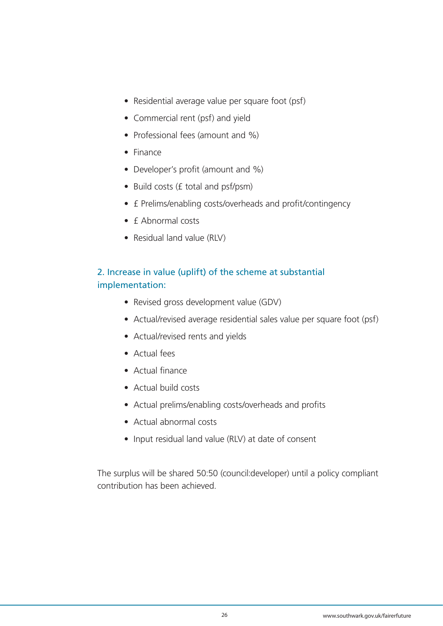- Residential average value per square foot (psf)
- Commercial rent (psf) and yield
- Professional fees (amount and %)
- Finance
- Developer's profit (amount and %)
- Build costs (£ total and psf/psm)
- £ Prelims/enabling costs/overheads and profit/contingency
- £ Abnormal costs
- Residual land value (RLV)

### 2. Increase in value (uplift) of the scheme at substantial implementation:

- Revised gross development value (GDV)
- Actual/revised average residential sales value per square foot (psf)
- Actual/revised rents and yields
- Actual fees
- Actual finance
- Actual build costs
- Actual prelims/enabling costs/overheads and profits
- Actual abnormal costs
- Input residual land value (RLV) at date of consent

The surplus will be shared 50:50 (council:developer) until a policy compliant contribution has been achieved.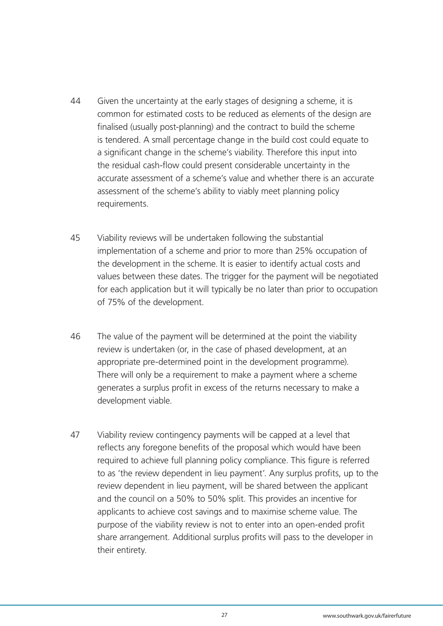- 44 Given the uncertainty at the early stages of designing a scheme, it is common for estimated costs to be reduced as elements of the design are finalised (usually post-planning) and the contract to build the scheme is tendered. A small percentage change in the build cost could equate to a significant change in the scheme's viability. Therefore this input into the residual cash-flow could present considerable uncertainty in the accurate assessment of a scheme's value and whether there is an accurate assessment of the scheme's ability to viably meet planning policy requirements.
- 45 Viability reviews will be undertaken following the substantial implementation of a scheme and prior to more than 25% occupation of the development in the scheme. It is easier to identify actual costs and values between these dates. The trigger for the payment will be negotiated for each application but it will typically be no later than prior to occupation of 75% of the development.
- 46 The value of the payment will be determined at the point the viability review is undertaken (or, in the case of phased development, at an appropriate pre-determined point in the development programme). There will only be a requirement to make a payment where a scheme generates a surplus profit in excess of the returns necessary to make a development viable.
- 47 Viability review contingency payments will be capped at a level that reflects any foregone benefits of the proposal which would have been required to achieve full planning policy compliance. This figure is referred to as 'the review dependent in lieu payment'. Any surplus profits, up to the review dependent in lieu payment, will be shared between the applicant and the council on a 50% to 50% split. This provides an incentive for applicants to achieve cost savings and to maximise scheme value. The purpose of the viability review is not to enter into an open-ended profit share arrangement. Additional surplus profits will pass to the developer in their entirety.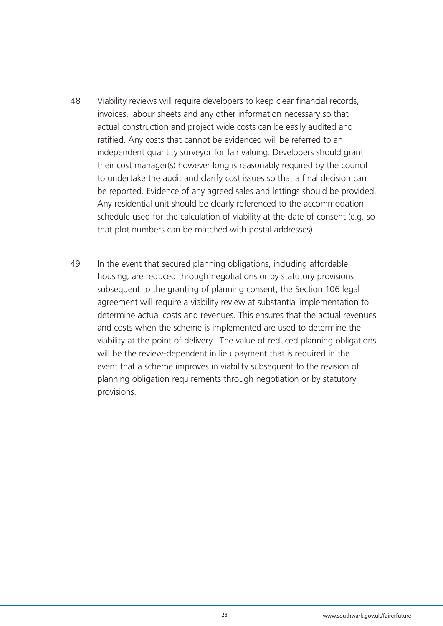- 48 Viability reviews will require developers to keep clear financial records, invoices, labour sheets and any other information necessary so that actual construction and project wide costs can be easily audited and ratified. Any costs that cannot be evidenced will be referred to an independent quantity surveyor for fair valuing. Developers should grant their cost manager(s) however long is reasonably required by the council to undertake the audit and clarify cost issues so that a final decision can be reported. Evidence of any agreed sales and lettings should be provided. Any residential unit should be clearly referenced to the accommodation schedule used for the calculation of viability at the date of consent (e.g. so that plot numbers can be matched with postal addresses).
- 49 In the event that secured planning obligations, including affordable housing, are reduced through negotiations or by statutory provisions subsequent to the granting of planning consent, the Section 106 legal agreement will require a viability review at substantial implementation to determine actual costs and revenues. This ensures that the actual revenues and costs when the scheme is implemented are used to determine the viability at the point of delivery. The value of reduced planning obligations will be the review-dependent in lieu payment that is required in the event that a scheme improves in viability subsequent to the revision of planning obligation requirements through negotiation or by statutory provisions.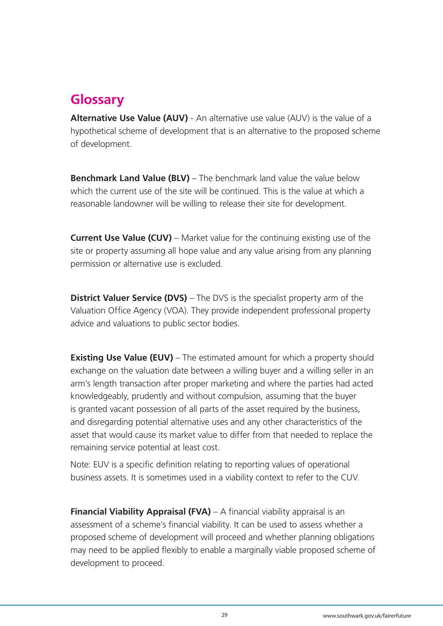## **Glossary**

**Alternative Use Value (AUV)** - An alternative use value (AUV) is the value of a hypothetical scheme of development that is an alternative to the proposed scheme of development.

**Benchmark Land Value (BLV)** – The benchmark land value the value below which the current use of the site will be continued. This is the value at which a reasonable landowner will be willing to release their site for development.

**Current Use Value (CUV)** – Market value for the continuing existing use of the site or property assuming all hope value and any value arising from any planning permission or alternative use is excluded.

**District Valuer Service (DVS)** – The DVS is the specialist property arm of the Valuation Office Agency (VOA). They provide independent professional property advice and valuations to public sector bodies.

**Existing Use Value (EUV)** – The estimated amount for which a property should exchange on the valuation date between a willing buyer and a willing seller in an arm's length transaction after proper marketing and where the parties had acted knowledgeably, prudently and without compulsion, assuming that the buyer is granted vacant possession of all parts of the asset required by the business, and disregarding potential alternative uses and any other characteristics of the asset that would cause its market value to differ from that needed to replace the remaining service potential at least cost.

Note: EUV is a specific definition relating to reporting values of operational business assets. It is sometimes used in a viability context to refer to the CUV.

**Financial Viability Appraisal (FVA)** – A financial viability appraisal is an assessment of a scheme's financial viability. It can be used to assess whether a proposed scheme of development will proceed and whether planning obligations may need to be applied flexibly to enable a marginally viable proposed scheme of development to proceed.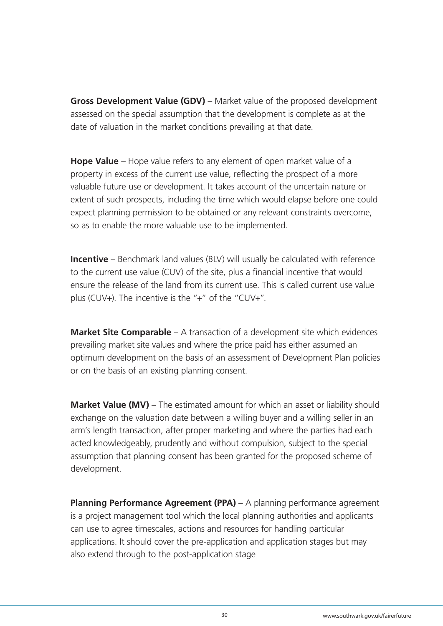**Gross Development Value (GDV)** – Market value of the proposed development assessed on the special assumption that the development is complete as at the date of valuation in the market conditions prevailing at that date.

**Hope Value** – Hope value refers to any element of open market value of a property in excess of the current use value, reflecting the prospect of a more valuable future use or development. It takes account of the uncertain nature or extent of such prospects, including the time which would elapse before one could expect planning permission to be obtained or any relevant constraints overcome, so as to enable the more valuable use to be implemented.

**Incentive** – Benchmark land values (BLV) will usually be calculated with reference to the current use value (CUV) of the site, plus a financial incentive that would ensure the release of the land from its current use. This is called current use value plus (CUV+). The incentive is the "+" of the "CUV+".

**Market Site Comparable** – A transaction of a development site which evidences prevailing market site values and where the price paid has either assumed an optimum development on the basis of an assessment of Development Plan policies or on the basis of an existing planning consent.

**Market Value (MV)** – The estimated amount for which an asset or liability should exchange on the valuation date between a willing buyer and a willing seller in an arm's length transaction, after proper marketing and where the parties had each acted knowledgeably, prudently and without compulsion, subject to the special assumption that planning consent has been granted for the proposed scheme of development.

**Planning Performance Agreement (PPA)** – A planning performance agreement is a project management tool which the local planning authorities and applicants can use to agree timescales, actions and resources for handling particular applications. It should cover the pre-application and application stages but may also extend through to the post-application stage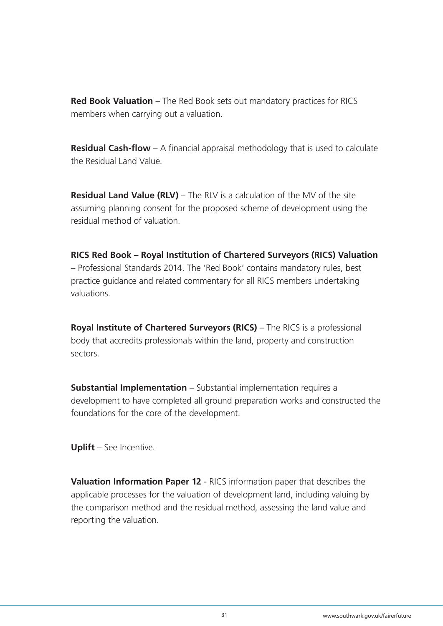**Red Book Valuation** – The Red Book sets out mandatory practices for RICS members when carrying out a valuation.

**Residual Cash-flow** – A financial appraisal methodology that is used to calculate the Residual Land Value.

**Residual Land Value (RLV)** – The RLV is a calculation of the MV of the site assuming planning consent for the proposed scheme of development using the residual method of valuation.

**RICS Red Book – Royal Institution of Chartered Surveyors (RICS) Valuation** – Professional Standards 2014. The 'Red Book' contains mandatory rules, best practice guidance and related commentary for all RICS members undertaking valuations.

**Royal Institute of Chartered Surveyors (RICS)** – The RICS is a professional body that accredits professionals within the land, property and construction sectors.

**Substantial Implementation** – Substantial implementation requires a development to have completed all ground preparation works and constructed the foundations for the core of the development.

**Uplift** – See Incentive.

**Valuation Information Paper 12** - RICS information paper that describes the applicable processes for the valuation of development land, including valuing by the comparison method and the residual method, assessing the land value and reporting the valuation.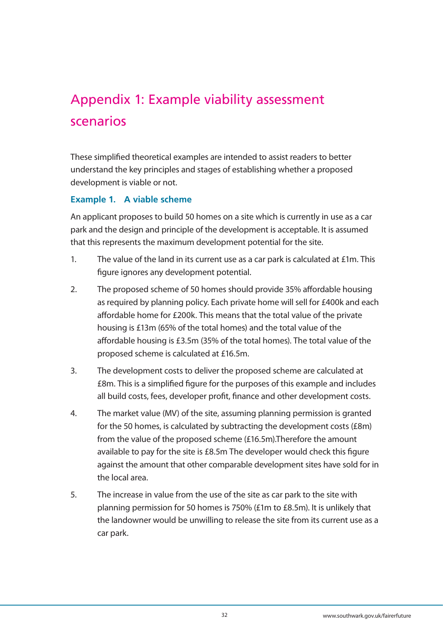# Appendix 1: Example viability assessment scenarios

These simplified theoretical examples are intended to assist readers to better understand the key principles and stages of establishing whether a proposed development is viable or not.

#### **Example 1. A viable scheme**

An applicant proposes to build 50 homes on a site which is currently in use as a car park and the design and principle of the development is acceptable. It is assumed that this represents the maximum development potential for the site.

- 1. The value of the land in its current use as a car park is calculated at £1m. This figure ignores any development potential.
- 2. The proposed scheme of 50 homes should provide 35% affordable housing as required by planning policy. Each private home will sell for £400k and each affordable home for £200k. This means that the total value of the private housing is £13m (65% of the total homes) and the total value of the affordable housing is £3.5m (35% of the total homes). The total value of the proposed scheme is calculated at £16.5m.
- 3. The development costs to deliver the proposed scheme are calculated at £8m. This is a simplified figure for the purposes of this example and includes all build costs, fees, developer profit, finance and other development costs.
- 4. The market value (MV) of the site, assuming planning permission is granted for the 50 homes, is calculated by subtracting the development costs (£8m) from the value of the proposed scheme (£16.5m).Therefore the amount available to pay for the site is £8.5m The developer would check this figure against the amount that other comparable development sites have sold for in the local area.
- 5. The increase in value from the use of the site as car park to the site with planning permission for 50 homes is 750% (£1m to £8.5m). It is unlikely that the landowner would be unwilling to release the site from its current use as a car park.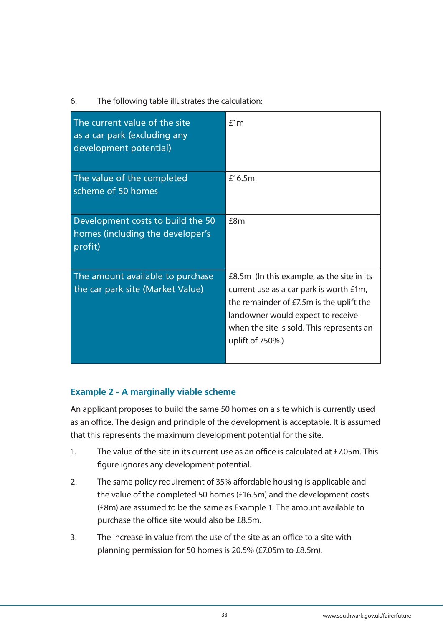#### 6. The following table illustrates the calculation:

| The current value of the site<br>as a car park (excluding any<br>development potential) | £1m                                                                                                                                                                                                                                     |
|-----------------------------------------------------------------------------------------|-----------------------------------------------------------------------------------------------------------------------------------------------------------------------------------------------------------------------------------------|
| The value of the completed<br>scheme of 50 homes                                        | £16.5m                                                                                                                                                                                                                                  |
| Development costs to build the 50<br>homes (including the developer's<br>profit)        | f8m                                                                                                                                                                                                                                     |
| The amount available to purchase<br>the car park site (Market Value)                    | £8.5m (In this example, as the site in its<br>current use as a car park is worth £1m,<br>the remainder of £7.5m is the uplift the<br>landowner would expect to receive<br>when the site is sold. This represents an<br>uplift of 750%.) |

#### **Example 2 - A marginally viable scheme**

An applicant proposes to build the same 50 homes on a site which is currently used as an office. The design and principle of the development is acceptable. It is assumed that this represents the maximum development potential for the site.

- 1. The value of the site in its current use as an office is calculated at £7.05m. This figure ignores any development potential.
- 2. The same policy requirement of 35% affordable housing is applicable and the value of the completed 50 homes (£16.5m) and the development costs (£8m) are assumed to be the same as Example 1. The amount available to purchase the office site would also be £8.5m.
- 3. The increase in value from the use of the site as an office to a site with planning permission for 50 homes is 20.5% (£7.05m to £8.5m).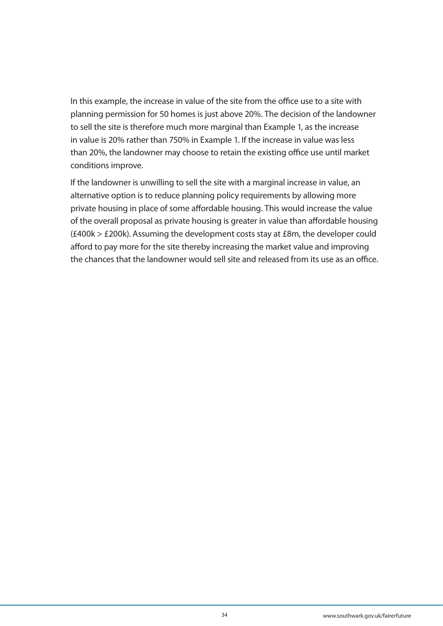In this example, the increase in value of the site from the office use to a site with planning permission for 50 homes is just above 20%. The decision of the landowner to sell the site is therefore much more marginal than Example 1, as the increase in value is 20% rather than 750% in Example 1. If the increase in value was less than 20%, the landowner may choose to retain the existing office use until market conditions improve.

If the landowner is unwilling to sell the site with a marginal increase in value, an alternative option is to reduce planning policy requirements by allowing more private housing in place of some affordable housing. This would increase the value of the overall proposal as private housing is greater in value than affordable housing (£400k > £200k). Assuming the development costs stay at £8m, the developer could afford to pay more for the site thereby increasing the market value and improving the chances that the landowner would sell site and released from its use as an office.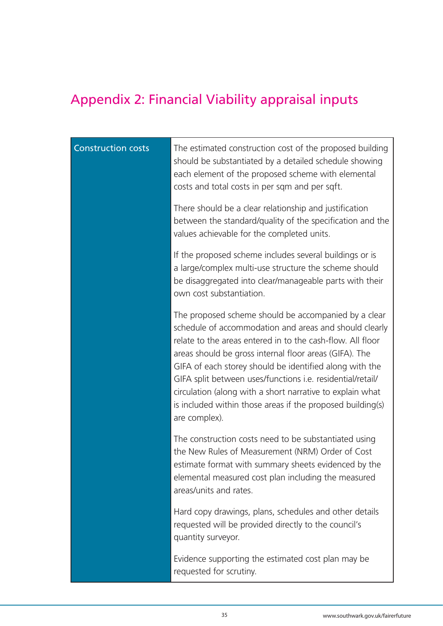# Appendix 2: Financial Viability appraisal inputs

| <b>Construction costs</b> | The estimated construction cost of the proposed building<br>should be substantiated by a detailed schedule showing<br>each element of the proposed scheme with elemental<br>costs and total costs in per sqm and per sqft.                                                                                                                                                                                                                                                                                  |
|---------------------------|-------------------------------------------------------------------------------------------------------------------------------------------------------------------------------------------------------------------------------------------------------------------------------------------------------------------------------------------------------------------------------------------------------------------------------------------------------------------------------------------------------------|
|                           | There should be a clear relationship and justification<br>between the standard/quality of the specification and the<br>values achievable for the completed units.                                                                                                                                                                                                                                                                                                                                           |
|                           | If the proposed scheme includes several buildings or is<br>a large/complex multi-use structure the scheme should<br>be disaggregated into clear/manageable parts with their<br>own cost substantiation.                                                                                                                                                                                                                                                                                                     |
|                           | The proposed scheme should be accompanied by a clear<br>schedule of accommodation and areas and should clearly<br>relate to the areas entered in to the cash-flow. All floor<br>areas should be gross internal floor areas (GIFA). The<br>GIFA of each storey should be identified along with the<br>GIFA split between uses/functions i.e. residential/retail/<br>circulation (along with a short narrative to explain what<br>is included within those areas if the proposed building(s)<br>are complex). |
|                           | The construction costs need to be substantiated using<br>the New Rules of Measurement (NRM) Order of Cost<br>estimate format with summary sheets evidenced by the<br>elemental measured cost plan including the measured<br>areas/units and rates.                                                                                                                                                                                                                                                          |
|                           | Hard copy drawings, plans, schedules and other details<br>requested will be provided directly to the council's<br>quantity surveyor.                                                                                                                                                                                                                                                                                                                                                                        |
|                           | Evidence supporting the estimated cost plan may be<br>requested for scrutiny.                                                                                                                                                                                                                                                                                                                                                                                                                               |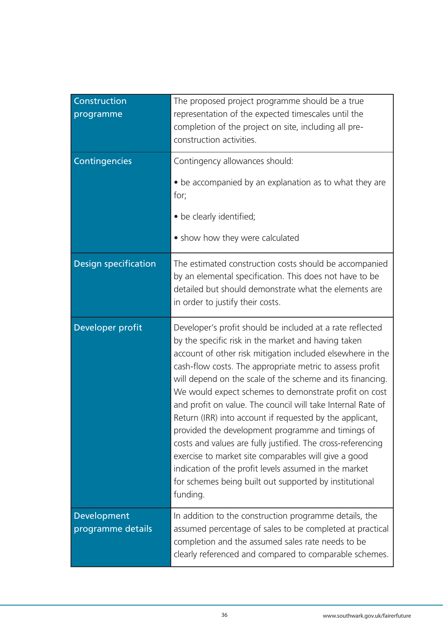| Construction<br>programme        | The proposed project programme should be a true<br>representation of the expected timescales until the<br>completion of the project on site, including all pre-<br>construction activities.                                                                                                                                                                                                                                                                                                                                                                                                                                                                                                                                                                                                            |
|----------------------------------|--------------------------------------------------------------------------------------------------------------------------------------------------------------------------------------------------------------------------------------------------------------------------------------------------------------------------------------------------------------------------------------------------------------------------------------------------------------------------------------------------------------------------------------------------------------------------------------------------------------------------------------------------------------------------------------------------------------------------------------------------------------------------------------------------------|
| Contingencies                    | Contingency allowances should:<br>• be accompanied by an explanation as to what they are<br>for;<br>• be clearly identified;<br>• show how they were calculated                                                                                                                                                                                                                                                                                                                                                                                                                                                                                                                                                                                                                                        |
| <b>Design specification</b>      | The estimated construction costs should be accompanied<br>by an elemental specification. This does not have to be<br>detailed but should demonstrate what the elements are<br>in order to justify their costs.                                                                                                                                                                                                                                                                                                                                                                                                                                                                                                                                                                                         |
| Developer profit                 | Developer's profit should be included at a rate reflected<br>by the specific risk in the market and having taken<br>account of other risk mitigation included elsewhere in the<br>cash-flow costs. The appropriate metric to assess profit<br>will depend on the scale of the scheme and its financing.<br>We would expect schemes to demonstrate profit on cost<br>and profit on value. The council will take Internal Rate of<br>Return (IRR) into account if requested by the applicant,<br>provided the development programme and timings of<br>costs and values are fully justified. The cross-referencing<br>exercise to market site comparables will give a good<br>indication of the profit levels assumed in the market<br>for schemes being built out supported by institutional<br>funding. |
| Development<br>programme details | In addition to the construction programme details, the<br>assumed percentage of sales to be completed at practical<br>completion and the assumed sales rate needs to be<br>clearly referenced and compared to comparable schemes.                                                                                                                                                                                                                                                                                                                                                                                                                                                                                                                                                                      |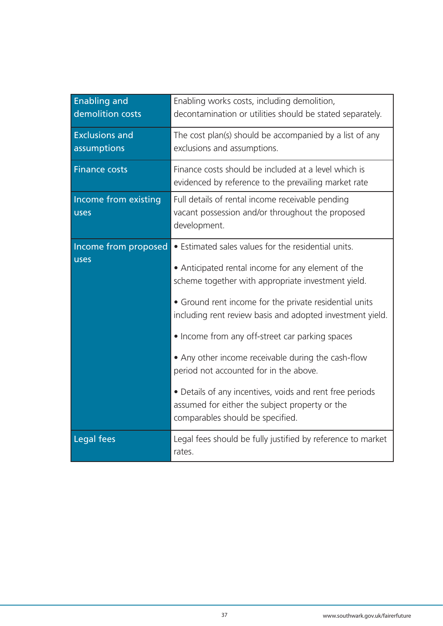| <b>Enabling and</b><br>demolition costs | Enabling works costs, including demolition,<br>decontamination or utilities should be stated separately.                                                                                                                                                                                                                                                                                                                                                                                                                                                                                    |
|-----------------------------------------|---------------------------------------------------------------------------------------------------------------------------------------------------------------------------------------------------------------------------------------------------------------------------------------------------------------------------------------------------------------------------------------------------------------------------------------------------------------------------------------------------------------------------------------------------------------------------------------------|
| <b>Exclusions and</b><br>assumptions    | The cost plan(s) should be accompanied by a list of any<br>exclusions and assumptions.                                                                                                                                                                                                                                                                                                                                                                                                                                                                                                      |
| <b>Finance costs</b>                    | Finance costs should be included at a level which is<br>evidenced by reference to the prevailing market rate                                                                                                                                                                                                                                                                                                                                                                                                                                                                                |
| Income from existing<br>uses            | Full details of rental income receivable pending<br>vacant possession and/or throughout the proposed<br>development.                                                                                                                                                                                                                                                                                                                                                                                                                                                                        |
| Income from proposed<br>uses            | • Estimated sales values for the residential units.<br>• Anticipated rental income for any element of the<br>scheme together with appropriate investment yield.<br>• Ground rent income for the private residential units<br>including rent review basis and adopted investment yield.<br>• Income from any off-street car parking spaces<br>• Any other income receivable during the cash-flow<br>period not accounted for in the above.<br>• Details of any incentives, voids and rent free periods<br>assumed for either the subject property or the<br>comparables should be specified. |
| Legal fees                              | Legal fees should be fully justified by reference to market<br>rates.                                                                                                                                                                                                                                                                                                                                                                                                                                                                                                                       |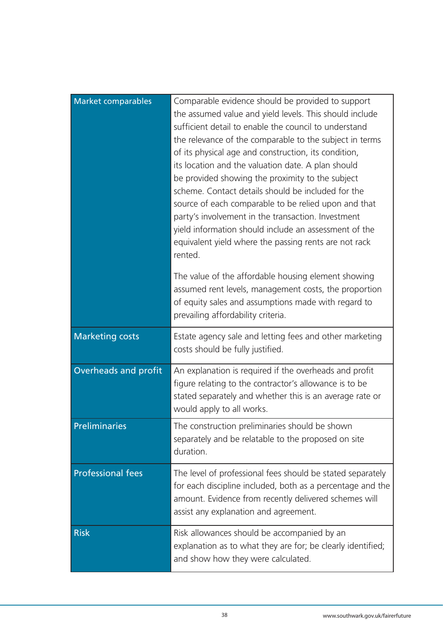| Market comparables       | Comparable evidence should be provided to support<br>the assumed value and yield levels. This should include<br>sufficient detail to enable the council to understand<br>the relevance of the comparable to the subject in terms<br>of its physical age and construction, its condition,<br>its location and the valuation date. A plan should<br>be provided showing the proximity to the subject<br>scheme. Contact details should be included for the<br>source of each comparable to be relied upon and that<br>party's involvement in the transaction. Investment<br>yield information should include an assessment of the<br>equivalent yield where the passing rents are not rack<br>rented. |
|--------------------------|-----------------------------------------------------------------------------------------------------------------------------------------------------------------------------------------------------------------------------------------------------------------------------------------------------------------------------------------------------------------------------------------------------------------------------------------------------------------------------------------------------------------------------------------------------------------------------------------------------------------------------------------------------------------------------------------------------|
|                          | The value of the affordable housing element showing<br>assumed rent levels, management costs, the proportion<br>of equity sales and assumptions made with regard to<br>prevailing affordability criteria.                                                                                                                                                                                                                                                                                                                                                                                                                                                                                           |
| <b>Marketing costs</b>   | Estate agency sale and letting fees and other marketing<br>costs should be fully justified.                                                                                                                                                                                                                                                                                                                                                                                                                                                                                                                                                                                                         |
| Overheads and profit     | An explanation is required if the overheads and profit<br>figure relating to the contractor's allowance is to be<br>stated separately and whether this is an average rate or<br>would apply to all works.                                                                                                                                                                                                                                                                                                                                                                                                                                                                                           |
| Preliminaries            | The construction preliminaries should be shown<br>separately and be relatable to the proposed on site<br>duration.                                                                                                                                                                                                                                                                                                                                                                                                                                                                                                                                                                                  |
| <b>Professional fees</b> | The level of professional fees should be stated separately<br>for each discipline included, both as a percentage and the<br>amount. Evidence from recently delivered schemes will<br>assist any explanation and agreement.                                                                                                                                                                                                                                                                                                                                                                                                                                                                          |
| <b>Risk</b>              | Risk allowances should be accompanied by an<br>explanation as to what they are for; be clearly identified;<br>and show how they were calculated.                                                                                                                                                                                                                                                                                                                                                                                                                                                                                                                                                    |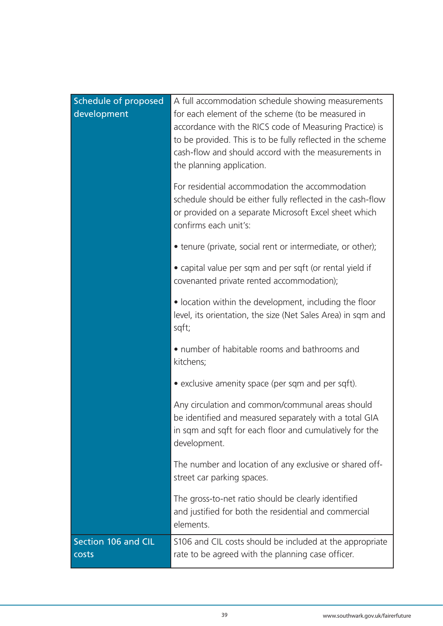| <b>Schedule of proposed</b><br>development | A full accommodation schedule showing measurements<br>for each element of the scheme (to be measured in<br>accordance with the RICS code of Measuring Practice) is<br>to be provided. This is to be fully reflected in the scheme<br>cash-flow and should accord with the measurements in<br>the planning application. |
|--------------------------------------------|------------------------------------------------------------------------------------------------------------------------------------------------------------------------------------------------------------------------------------------------------------------------------------------------------------------------|
|                                            | For residential accommodation the accommodation<br>schedule should be either fully reflected in the cash-flow<br>or provided on a separate Microsoft Excel sheet which<br>confirms each unit's:                                                                                                                        |
|                                            | • tenure (private, social rent or intermediate, or other);                                                                                                                                                                                                                                                             |
|                                            | • capital value per sqm and per sqft (or rental yield if<br>covenanted private rented accommodation);                                                                                                                                                                                                                  |
|                                            | • location within the development, including the floor<br>level, its orientation, the size (Net Sales Area) in sqm and<br>sqft;                                                                                                                                                                                        |
|                                            | • number of habitable rooms and bathrooms and<br>kitchens;                                                                                                                                                                                                                                                             |
|                                            | • exclusive amenity space (per sqm and per sqft).                                                                                                                                                                                                                                                                      |
|                                            | Any circulation and common/communal areas should<br>be identified and measured separately with a total GIA<br>in sqm and sqft for each floor and cumulatively for the<br>development.                                                                                                                                  |
|                                            | The number and location of any exclusive or shared off-<br>street car parking spaces.                                                                                                                                                                                                                                  |
|                                            | The gross-to-net ratio should be clearly identified<br>and justified for both the residential and commercial<br>elements.                                                                                                                                                                                              |
| Section 106 and CIL<br>costs               | S106 and CIL costs should be included at the appropriate<br>rate to be agreed with the planning case officer.                                                                                                                                                                                                          |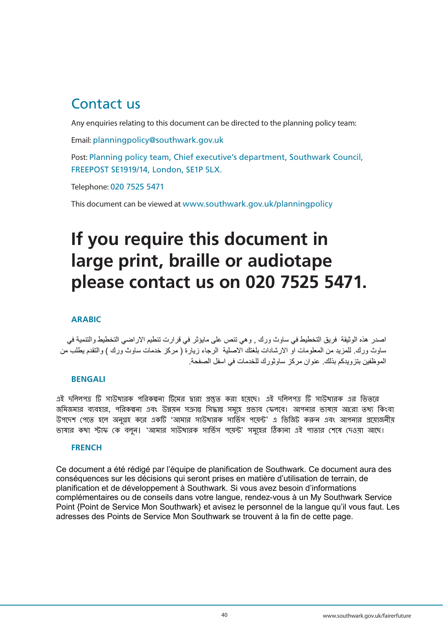## Contact us

Any enquiries relating to this document can be directed to the planning policy team:

Email: planningpolicy@southwark.gov.uk

Post: Planning policy team, Chief executive's department, Southwark Council, FREEPOST SE1919/14, London, SE1P 5LX.

Telephone: 020 7525 5471

This document can be viewed at www.southwark.gov.uk/planningpolicy

# **If you require this document in large print, braille or audiotape please contact us on 020 7525 5471.**

#### **ARABIC**

اصدر هذه الوثيقة فريق التخطيط في ساوث ورك , وهي تنص على مايؤثر في قرارت تنطيم االراضي التخطيط والتنمية في ساوث ورك. للمزيد من المعلومات او الارشادات بلغتك الاصلية الرجاء زيارة ( مركز خدمات ساوث ورك ) والتقدم يطلب من الموظفين بتزويدكم بذلك. عنوان مركز ساوثورك للخدمات في اسفل الصفحة.

#### **BENGALI**

এই দলিিপত্র টি সাউথারক পলরকল্পনা টিমের দ্বারা প্রস্তুত করা হমেমে। এই দলিিপত্র টি সাউথারক এর লিতমর জমিজমার ব্যবহার, পরিকল্পনা এবং উন্নয়ন সক্রান্ত সিদ্ধান্ত সমহে প্রভাব ফেলবে। আপনার ভাষায় আরো তথ্য কিংবা উপদেশ পেতে হলে অনগ্রহ করে একটি 'আমার সাউথারক সার্ভিস পমেন্ট' এ ভিজিট করুন এবং আপনার প্রমোজনীয ভাষার কথা স্টাফ কে বলুন। 'আমার সাউথারক সার্ভিস পমেন্ট' সমূহের ঠিকানা এই পাতার শেষে দেওয়া আছে।

#### **FRENCH**

Ce document a été rédigé par l'équipe de planification de Southwark. Ce document aura des conséquences sur les décisions qui seront prises en matière d'utilisation de terrain, de planification et de développement à Southwark. Si vous avez besoin d'informations complémentaires ou de conseils dans votre langue, rendez-vous à un My Southwark Service Point {Point de Service Mon Southwark} et avisez le personnel de la langue qu'il vous faut. Les adresses des Points de Service Mon Southwark se trouvent à la fin de cette page.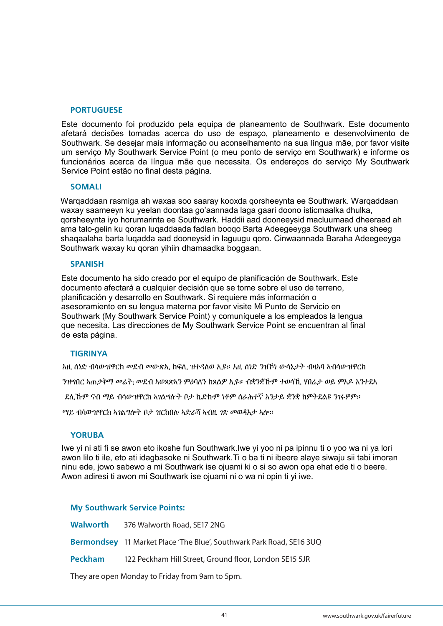#### **PORTUGUESE**

Este documento foi produzido pela equipa de planeamento de Southwark. Este documento afetará decisões tomadas acerca do uso de espaço, planeamento e desenvolvimento de Southwark. Se desejar mais informação ou aconselhamento na sua língua mãe, por favor visite um serviço My Southwark Service Point (o meu ponto de serviço em Southwark) e informe os funcionários acerca da língua mãe que necessita. Os endereços do serviço My Southwark Service Point estão no final desta página.

#### **SOMALI**

Warqaddaan rasmiga ah waxaa soo saaray kooxda qorsheeynta ee Southwark. Warqaddaan waxay saameeyn ku yeelan doontaa go'aannada laga gaari doono isticmaalka dhulka, qorsheeynta iyo horumarinta ee Southwark. Haddii aad dooneeysid macluumaad dheeraad ah ama talo-gelin ku qoran luqaddaada fadlan booqo Barta Adeegeeyga Southwark una sheeg shaqaalaha barta luqadda aad dooneysid in laguugu qoro. Cinwaannada Baraha Adeegeeyga Southwark waxay ku qoran yihiin dhamaadka boggaan.

#### **SPANISH**

Este documento ha sido creado por el equipo de planificación de Southwark. Este documento afectará a cualquier decisión que se tome sobre el uso de terreno, planificación y desarrollo en Southwark. Si requiere más información o asesoramiento en su lengua materna por favor visite Mi Punto de Servicio en Southwark (My Southwark Service Point) y comuníquele a los empleados la lengua que necesita. Las direcciones de My Southwark Service Point se encuentran al final de esta página.

#### **TIGRINYA**

እዚ ሰነድ ብሳውዝዋርክ መደብ መውጽኢ ክፍሊ ዝተዳለወ ኢዩ። እዚ ሰነድ ንዝኾነ ውሳኔታት ብዛእባ ኣብሳውዝዋርክ

ንዝግበር ኣጠቃቅማ መሬት; መደብ ኣወጻጽኣን ምዕባለን ክጸልዎ ኢዩ። ብቋንቋኹም ተወሳኺ ሃበሬታ ወይ ምእዶ እንተደኣ

ደሊኹም ናብ ማይ ብሳውዝዋርክ ኣገልግሎት ቦታ ኬድኩም ነቶም ሰራሕተኛ እንታይ ቋንቋ ከምትደልዩ ንገሩዎም።

ማይ ብሳውዝዋርክ ኣገልግሎት ቦታ ዝርከበሉ ኣድራሻ ኣብዚ ገጽ መወዳእታ ኣሎ።

#### **YORUBA**

Iwe yi ni ati fi se awon eto ikoshe fun Southwark.Iwe yi yoo ni pa ipinnu ti o yoo wa ni ya lori awon lilo ti ile, eto ati idagbasoke ni Southwark.Ti o ba ti ni ibeere alaye siwaju sii tabi imoran ninu ede, jowo sabewo a mi Southwark ise ojuami ki o si so awon opa ehat ede ti o beere. Awon adiresi ti awon mi Southwark ise ojuami ni o wa ni opin ti yi iwe.

#### **My Southwark Service Points:**

| <b>Walworth</b> | 376 Walworth Road, SE17 2NG                                          |
|-----------------|----------------------------------------------------------------------|
|                 | Bermondsey 11 Market Place 'The Blue', Southwark Park Road, SE16 3UQ |
| <b>Peckham</b>  | 122 Peckham Hill Street, Ground floor, London SE15 5JR               |
|                 |                                                                      |

They are open Monday to Friday from 9am to 5pm.